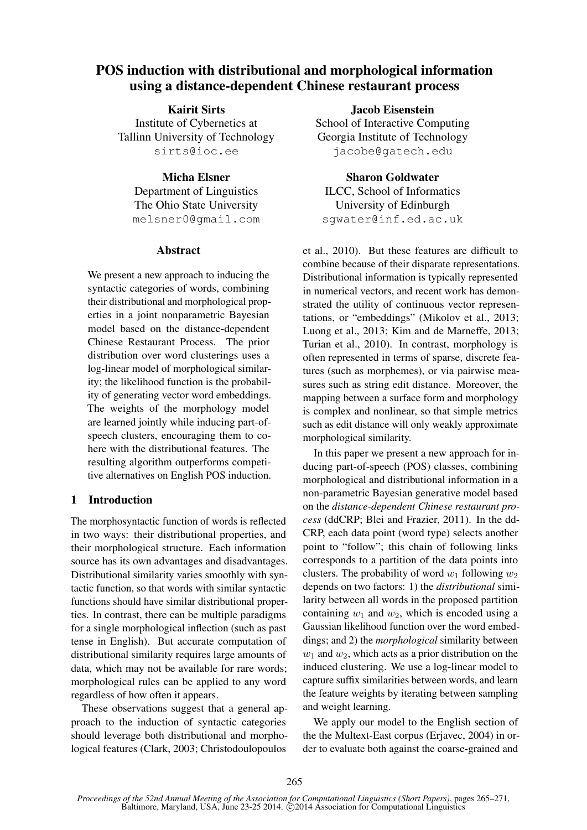# POS induction with distributional and morphological information using a distance-dependent Chinese restaurant process

Kairit Sirts Institute of Cybernetics at Tallinn University of Technology sirts@ioc.ee

Micha Elsner Department of Linguistics The Ohio State University melsner0@gmail.com

## **Abstract**

We present a new approach to inducing the syntactic categories of words, combining their distributional and morphological properties in a joint nonparametric Bayesian model based on the distance-dependent Chinese Restaurant Process. The prior distribution over word clusterings uses a log-linear model of morphological similarity; the likelihood function is the probability of generating vector word embeddings. The weights of the morphology model are learned jointly while inducing part-ofspeech clusters, encouraging them to cohere with the distributional features. The resulting algorithm outperforms competitive alternatives on English POS induction.

# 1 Introduction

The morphosyntactic function of words is reflected in two ways: their distributional properties, and their morphological structure. Each information source has its own advantages and disadvantages. Distributional similarity varies smoothly with syntactic function, so that words with similar syntactic functions should have similar distributional properties. In contrast, there can be multiple paradigms for a single morphological inflection (such as past tense in English). But accurate computation of distributional similarity requires large amounts of data, which may not be available for rare words; morphological rules can be applied to any word regardless of how often it appears.

These observations suggest that a general approach to the induction of syntactic categories should leverage both distributional and morphological features (Clark, 2003; Christodoulopoulos

Jacob Eisenstein School of Interactive Computing Georgia Institute of Technology jacobe@gatech.edu

Sharon Goldwater

ILCC, School of Informatics University of Edinburgh sgwater@inf.ed.ac.uk

et al., 2010). But these features are difficult to combine because of their disparate representations. Distributional information is typically represented in numerical vectors, and recent work has demonstrated the utility of continuous vector representations, or "embeddings" (Mikolov et al., 2013; Luong et al., 2013; Kim and de Marneffe, 2013; Turian et al., 2010). In contrast, morphology is often represented in terms of sparse, discrete features (such as morphemes), or via pairwise measures such as string edit distance. Moreover, the mapping between a surface form and morphology is complex and nonlinear, so that simple metrics such as edit distance will only weakly approximate morphological similarity.

In this paper we present a new approach for inducing part-of-speech (POS) classes, combining morphological and distributional information in a non-parametric Bayesian generative model based on the *distance-dependent Chinese restaurant process* (ddCRP; Blei and Frazier, 2011). In the dd-CRP, each data point (word type) selects another point to "follow"; this chain of following links corresponds to a partition of the data points into clusters. The probability of word  $w_1$  following  $w_2$ depends on two factors: 1) the *distributional* similarity between all words in the proposed partition containing  $w_1$  and  $w_2$ , which is encoded using a Gaussian likelihood function over the word embeddings; and 2) the *morphological* similarity between  $w_1$  and  $w_2$ , which acts as a prior distribution on the induced clustering. We use a log-linear model to capture suffix similarities between words, and learn the feature weights by iterating between sampling and weight learning.

We apply our model to the English section of the the Multext-East corpus (Erjavec, 2004) in order to evaluate both against the coarse-grained and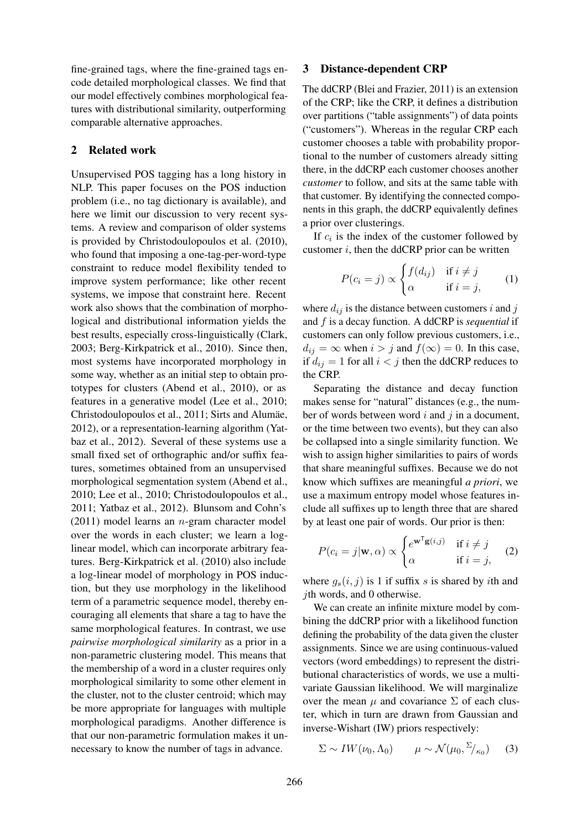fine-grained tags, where the fine-grained tags encode detailed morphological classes. We find that our model effectively combines morphological features with distributional similarity, outperforming comparable alternative approaches.

## 2 Related work

Unsupervised POS tagging has a long history in NLP. This paper focuses on the POS induction problem (i.e., no tag dictionary is available), and here we limit our discussion to very recent systems. A review and comparison of older systems is provided by Christodoulopoulos et al. (2010), who found that imposing a one-tag-per-word-type constraint to reduce model flexibility tended to improve system performance; like other recent systems, we impose that constraint here. Recent work also shows that the combination of morphological and distributional information yields the best results, especially cross-linguistically (Clark, 2003; Berg-Kirkpatrick et al., 2010). Since then, most systems have incorporated morphology in some way, whether as an initial step to obtain prototypes for clusters (Abend et al., 2010), or as features in a generative model (Lee et al., 2010; Christodoulopoulos et al., 2011; Sirts and Alumäe, 2012), or a representation-learning algorithm (Yatbaz et al., 2012). Several of these systems use a small fixed set of orthographic and/or suffix features, sometimes obtained from an unsupervised morphological segmentation system (Abend et al., 2010; Lee et al., 2010; Christodoulopoulos et al., 2011; Yatbaz et al., 2012). Blunsom and Cohn's  $(2011)$  model learns an *n*-gram character model over the words in each cluster; we learn a loglinear model, which can incorporate arbitrary features. Berg-Kirkpatrick et al. (2010) also include a log-linear model of morphology in POS induction, but they use morphology in the likelihood term of a parametric sequence model, thereby encouraging all elements that share a tag to have the same morphological features. In contrast, we use *pairwise morphological similarity* as a prior in a non-parametric clustering model. This means that the membership of a word in a cluster requires only morphological similarity to some other element in the cluster, not to the cluster centroid; which may be more appropriate for languages with multiple morphological paradigms. Another difference is that our non-parametric formulation makes it unnecessary to know the number of tags in advance.

#### 3 Distance-dependent CRP

The ddCRP (Blei and Frazier, 2011) is an extension of the CRP; like the CRP, it defines a distribution over partitions ("table assignments") of data points ("customers"). Whereas in the regular CRP each customer chooses a table with probability proportional to the number of customers already sitting there, in the ddCRP each customer chooses another *customer* to follow, and sits at the same table with that customer. By identifying the connected components in this graph, the ddCRP equivalently defines a prior over clusterings.

If  $c_i$  is the index of the customer followed by customer  $i$ , then the ddCRP prior can be written

$$
P(c_i = j) \propto \begin{cases} f(d_{ij}) & \text{if } i \neq j \\ \alpha & \text{if } i = j, \end{cases}
$$
 (1)

where  $d_{ij}$  is the distance between customers i and j and f is a decay function. A ddCRP is *sequential* if customers can only follow previous customers, i.e.,  $d_{ij} = \infty$  when  $i > j$  and  $f(\infty) = 0$ . In this case, if  $d_{ij} = 1$  for all  $i < j$  then the ddCRP reduces to the CRP.

Separating the distance and decay function makes sense for "natural" distances (e.g., the number of words between word  $i$  and  $j$  in a document, or the time between two events), but they can also be collapsed into a single similarity function. We wish to assign higher similarities to pairs of words that share meaningful suffixes. Because we do not know which suffixes are meaningful *a priori*, we use a maximum entropy model whose features include all suffixes up to length three that are shared by at least one pair of words. Our prior is then:

$$
P(c_i = j | \mathbf{w}, \alpha) \propto \begin{cases} e^{\mathbf{w}^\mathsf{T} \mathbf{g}(i,j)} & \text{if } i \neq j \\ \alpha & \text{if } i = j, \end{cases} \tag{2}
$$

where  $g_s(i, j)$  is 1 if suffix s is shared by ith and jth words, and 0 otherwise.

We can create an infinite mixture model by combining the ddCRP prior with a likelihood function defining the probability of the data given the cluster assignments. Since we are using continuous-valued vectors (word embeddings) to represent the distributional characteristics of words, we use a multivariate Gaussian likelihood. We will marginalize over the mean  $\mu$  and covariance  $\Sigma$  of each cluster, which in turn are drawn from Gaussian and inverse-Wishart (IW) priors respectively:

$$
\Sigma \sim IW(\nu_0, \Lambda_0) \qquad \mu \sim \mathcal{N}(\mu_0, \Sigma/_{\kappa_0}) \tag{3}
$$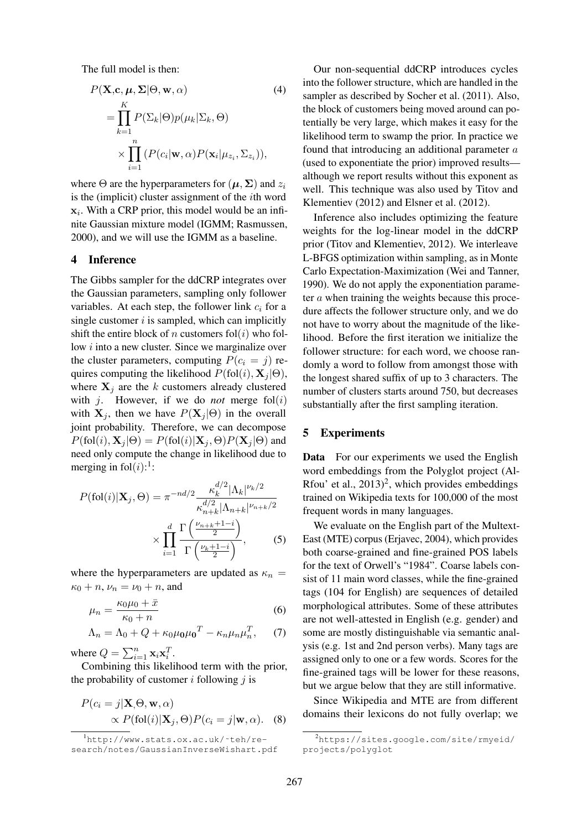The full model is then:

$$
P(\mathbf{X}, \mathbf{c}, \boldsymbol{\mu}, \boldsymbol{\Sigma} | \boldsymbol{\Theta}, \mathbf{w}, \alpha) \tag{4}
$$
  
= 
$$
\prod_{k=1}^{K} P(\Sigma_k | \boldsymbol{\Theta}) p(\mu_k | \Sigma_k, \boldsymbol{\Theta})
$$
  

$$
\times \prod_{i=1}^{n} (P(c_i | \mathbf{w}, \alpha) P(\mathbf{x}_i | \mu_{z_i}, \Sigma_{z_i})),
$$

where  $\Theta$  are the hyperparameters for  $(\mu, \Sigma)$  and  $z_i$ is the (implicit) cluster assignment of the ith word  $x_i$ . With a CRP prior, this model would be an infinite Gaussian mixture model (IGMM; Rasmussen, 2000), and we will use the IGMM as a baseline.

#### 4 Inference

The Gibbs sampler for the ddCRP integrates over the Gaussian parameters, sampling only follower variables. At each step, the follower link  $c_i$  for a single customer  $i$  is sampled, which can implicitly shift the entire block of n customers fol(i) who follow i into a new cluster. Since we marginalize over the cluster parameters, computing  $P(c_i = j)$  requires computing the likelihood  $P(fol(i), X<sub>i</sub> | \Theta)$ , where  $X_i$  are the k customers already clustered with  $j$ . However, if we do *not* merge  $fol(i)$ with  $X_j$ , then we have  $P(X_j | \Theta)$  in the overall joint probability. Therefore, we can decompose  $P(fol(i), \mathbf{X}_i | \Theta) = P(fol(i) | \mathbf{X}_i, \Theta) P(\mathbf{X}_i | \Theta)$  and need only compute the change in likelihood due to merging in fol $(i)!$ :

$$
P(\text{fol}(i)|\mathbf{X}_j, \Theta) = \pi^{-nd/2} \frac{\kappa_k^{d/2} |\Lambda_k|^{\nu_k/2}}{\kappa_{n+k}^{d/2} |\Lambda_{n+k}|^{\nu_{n+k}/2}} \times \prod_{i=1}^d \frac{\Gamma\left(\frac{\nu_{n+k}+1-i}{2}\right)}{\Gamma\left(\frac{\nu_k+1-i}{2}\right)},\tag{5}
$$

where the hyperparameters are updated as  $\kappa_n =$  $\kappa_0 + n$ ,  $\nu_n = \nu_0 + n$ , and

$$
\mu_n = \frac{\kappa_0 \mu_0 + \bar{x}}{\kappa_0 + n} \tag{6}
$$

$$
\Lambda_n = \Lambda_0 + Q + \kappa_0 \mu_0 \mu_0^T - \kappa_n \mu_n \mu_n^T, \qquad (7)
$$

where  $Q = \sum_{i=1}^{n} \mathbf{x}_i \mathbf{x}_i^T$ .

Combining this likelihood term with the prior, the probability of customer  $i$  following  $j$  is

$$
P(c_i = j | \mathbf{X}_{i} \Theta, \mathbf{w}, \alpha)
$$
  
 
$$
\propto P(\text{fol}(i) | \mathbf{X}_{j}, \Theta) P(c_i = j | \mathbf{w}, \alpha).
$$
 (8)

Our non-sequential ddCRP introduces cycles into the follower structure, which are handled in the sampler as described by Socher et al. (2011). Also, the block of customers being moved around can potentially be very large, which makes it easy for the likelihood term to swamp the prior. In practice we found that introducing an additional parameter  $a$ (used to exponentiate the prior) improved results although we report results without this exponent as well. This technique was also used by Titov and Klementiev (2012) and Elsner et al. (2012).

Inference also includes optimizing the feature weights for the log-linear model in the ddCRP prior (Titov and Klementiev, 2012). We interleave L-BFGS optimization within sampling, as in Monte Carlo Expectation-Maximization (Wei and Tanner, 1990). We do not apply the exponentiation parameter a when training the weights because this procedure affects the follower structure only, and we do not have to worry about the magnitude of the likelihood. Before the first iteration we initialize the follower structure: for each word, we choose randomly a word to follow from amongst those with the longest shared suffix of up to 3 characters. The number of clusters starts around 750, but decreases substantially after the first sampling iteration.

#### 5 Experiments

Data For our experiments we used the English word embeddings from the Polyglot project (Al-Rfou' et al.,  $2013$ <sup>2</sup>, which provides embeddings trained on Wikipedia texts for 100,000 of the most frequent words in many languages.

We evaluate on the English part of the Multext-East (MTE) corpus (Erjavec, 2004), which provides both coarse-grained and fine-grained POS labels for the text of Orwell's "1984". Coarse labels consist of 11 main word classes, while the fine-grained tags (104 for English) are sequences of detailed morphological attributes. Some of these attributes are not well-attested in English (e.g. gender) and some are mostly distinguishable via semantic analysis (e.g. 1st and 2nd person verbs). Many tags are assigned only to one or a few words. Scores for the fine-grained tags will be lower for these reasons, but we argue below that they are still informative.

Since Wikipedia and MTE are from different domains their lexicons do not fully overlap; we

<sup>1</sup>http://www.stats.ox.ac.uk/˜teh/research/notes/GaussianInverseWishart.pdf

<sup>&</sup>lt;sup>2</sup>https://sites.google.com/site/rmyeid/ projects/polyglot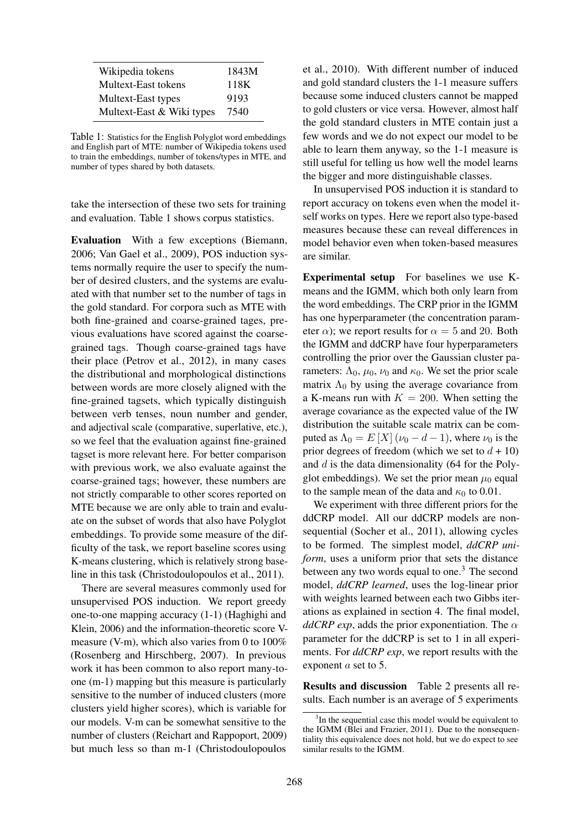| Wikipedia tokens          | 1843M |
|---------------------------|-------|
| Multext-East tokens       | 118K  |
| Multext-East types        | 9193  |
| Multext-East & Wiki types | 7540  |

Table 1: Statistics for the English Polyglot word embeddings and English part of MTE: number of Wikipedia tokens used to train the embeddings, number of tokens/types in MTE, and number of types shared by both datasets.

take the intersection of these two sets for training and evaluation. Table 1 shows corpus statistics.

Evaluation With a few exceptions (Biemann, 2006; Van Gael et al., 2009), POS induction systems normally require the user to specify the number of desired clusters, and the systems are evaluated with that number set to the number of tags in the gold standard. For corpora such as MTE with both fine-grained and coarse-grained tages, previous evaluations have scored against the coarsegrained tags. Though coarse-grained tags have their place (Petrov et al., 2012), in many cases the distributional and morphological distinctions between words are more closely aligned with the fine-grained tagsets, which typically distinguish between verb tenses, noun number and gender, and adjectival scale (comparative, superlative, etc.), so we feel that the evaluation against fine-grained tagset is more relevant here. For better comparison with previous work, we also evaluate against the coarse-grained tags; however, these numbers are not strictly comparable to other scores reported on MTE because we are only able to train and evaluate on the subset of words that also have Polyglot embeddings. To provide some measure of the difficulty of the task, we report baseline scores using K-means clustering, which is relatively strong baseline in this task (Christodoulopoulos et al., 2011).

There are several measures commonly used for unsupervised POS induction. We report greedy one-to-one mapping accuracy (1-1) (Haghighi and Klein, 2006) and the information-theoretic score Vmeasure (V-m), which also varies from 0 to 100% (Rosenberg and Hirschberg, 2007). In previous work it has been common to also report many-toone (m-1) mapping but this measure is particularly sensitive to the number of induced clusters (more clusters yield higher scores), which is variable for our models. V-m can be somewhat sensitive to the number of clusters (Reichart and Rappoport, 2009) but much less so than m-1 (Christodoulopoulos et al., 2010). With different number of induced and gold standard clusters the 1-1 measure suffers because some induced clusters cannot be mapped to gold clusters or vice versa. However, almost half the gold standard clusters in MTE contain just a few words and we do not expect our model to be able to learn them anyway, so the 1-1 measure is still useful for telling us how well the model learns the bigger and more distinguishable classes.

In unsupervised POS induction it is standard to report accuracy on tokens even when the model itself works on types. Here we report also type-based measures because these can reveal differences in model behavior even when token-based measures are similar.

Experimental setup For baselines we use Kmeans and the IGMM, which both only learn from the word embeddings. The CRP prior in the IGMM has one hyperparameter (the concentration parameter  $\alpha$ ); we report results for  $\alpha = 5$  and 20. Both the IGMM and ddCRP have four hyperparameters controlling the prior over the Gaussian cluster parameters:  $\Lambda_0$ ,  $\mu_0$ ,  $\nu_0$  and  $\kappa_0$ . We set the prior scale matrix  $\Lambda_0$  by using the average covariance from a K-means run with  $K = 200$ . When setting the average covariance as the expected value of the IW distribution the suitable scale matrix can be computed as  $\Lambda_0 = E[X](\nu_0 - d - 1)$ , where  $\nu_0$  is the prior degrees of freedom (which we set to  $d + 10$ ) and  $d$  is the data dimensionality (64 for the Polyglot embeddings). We set the prior mean  $\mu_0$  equal to the sample mean of the data and  $\kappa_0$  to 0.01.

We experiment with three different priors for the ddCRP model. All our ddCRP models are nonsequential (Socher et al., 2011), allowing cycles to be formed. The simplest model, *ddCRP uniform*, uses a uniform prior that sets the distance between any two words equal to one.<sup>3</sup> The second model, *ddCRP learned*, uses the log-linear prior with weights learned between each two Gibbs iterations as explained in section 4. The final model,  $ddCRP$  exp, adds the prior exponentiation. The  $\alpha$ parameter for the ddCRP is set to 1 in all experiments. For *ddCRP exp*, we report results with the exponent a set to 5.

Results and discussion Table 2 presents all results. Each number is an average of 5 experiments

<sup>&</sup>lt;sup>3</sup>In the sequential case this model would be equivalent to the IGMM (Blei and Frazier, 2011). Due to the nonsequentiality this equivalence does not hold, but we do expect to see similar results to the IGMM.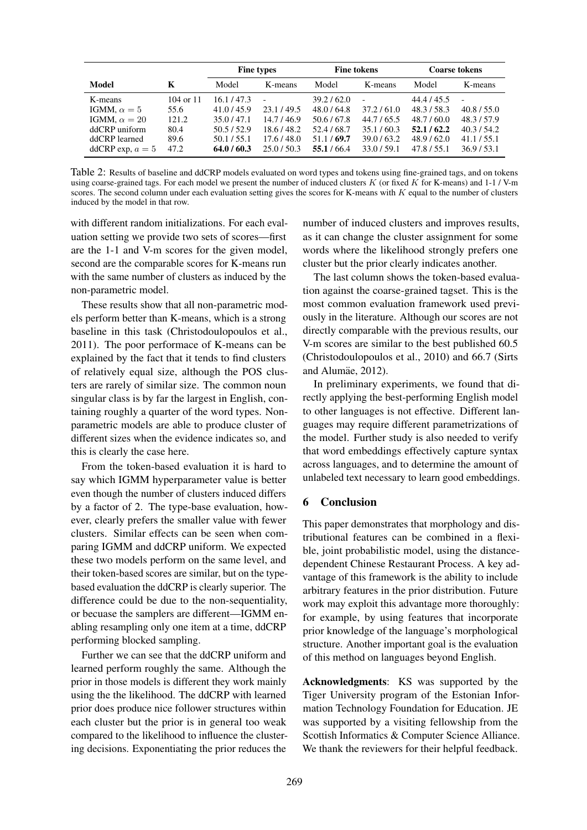|                     |               | <b>Fine types</b> |           | <b>Fine tokens</b> |             | <b>Coarse tokens</b> |             |
|---------------------|---------------|-------------------|-----------|--------------------|-------------|----------------------|-------------|
| Model               | K             | Model             | K-means   | Model              | K-means     | Model                | K-means     |
| K-means             | $104$ or $11$ | 16.1 / 47.3       |           | 39.2 / 62.0        |             | 44.4 / 45.5          |             |
| IGMM, $\alpha = 5$  | 55.6          | 41.0/45.9         | 23.1/49.5 | 48.0/64.8          | 37.2/61.0   | 48.3/58.3            | 40.8 / 55.0 |
| IGMM, $\alpha = 20$ | 121.2         | 35.0/47.1         | 14.7/46.9 | 50.6/67.8          | 44.7/65.5   | 48.7/60.0            | 48.3/57.9   |
| ddCRP uniform       | 80.4          | 50.5/52.9         | 18.6/48.2 | 52.4/68.7          | 35.1/60.3   | 52.1/62.2            | 40.3 / 54.2 |
| ddCRP learned       | 89.6          | 50.1/55.1         | 17.6/48.0 | 51.1/69.7          | 39.0/63.2   | 48.9/62.0            | 41.1 / 55.1 |
| ddCRP exp, $a = 5$  | 47.2          | 64.0/60.3         | 25.0/50.3 | 55.1/66.4          | 33.0 / 59.1 | 47.8 / 55.1          | 36.9/53.1   |

Table 2: Results of baseline and ddCRP models evaluated on word types and tokens using fine-grained tags, and on tokens using coarse-grained tags. For each model we present the number of induced clusters K (or fixed K for K-means) and  $1-1$  / V-m scores. The second column under each evaluation setting gives the scores for K-means with  $K$  equal to the number of clusters induced by the model in that row.

with different random initializations. For each evaluation setting we provide two sets of scores—first are the 1-1 and V-m scores for the given model, second are the comparable scores for K-means run with the same number of clusters as induced by the non-parametric model.

These results show that all non-parametric models perform better than K-means, which is a strong baseline in this task (Christodoulopoulos et al., 2011). The poor performace of K-means can be explained by the fact that it tends to find clusters of relatively equal size, although the POS clusters are rarely of similar size. The common noun singular class is by far the largest in English, containing roughly a quarter of the word types. Nonparametric models are able to produce cluster of different sizes when the evidence indicates so, and this is clearly the case here.

From the token-based evaluation it is hard to say which IGMM hyperparameter value is better even though the number of clusters induced differs by a factor of 2. The type-base evaluation, however, clearly prefers the smaller value with fewer clusters. Similar effects can be seen when comparing IGMM and ddCRP uniform. We expected these two models perform on the same level, and their token-based scores are similar, but on the typebased evaluation the ddCRP is clearly superior. The difference could be due to the non-sequentiality, or becuase the samplers are different—IGMM enabling resampling only one item at a time, ddCRP performing blocked sampling.

Further we can see that the ddCRP uniform and learned perform roughly the same. Although the prior in those models is different they work mainly using the the likelihood. The ddCRP with learned prior does produce nice follower structures within each cluster but the prior is in general too weak compared to the likelihood to influence the clustering decisions. Exponentiating the prior reduces the

number of induced clusters and improves results, as it can change the cluster assignment for some words where the likelihood strongly prefers one cluster but the prior clearly indicates another.

The last column shows the token-based evaluation against the coarse-grained tagset. This is the most common evaluation framework used previously in the literature. Although our scores are not directly comparable with the previous results, our V-m scores are similar to the best published 60.5 (Christodoulopoulos et al., 2010) and 66.7 (Sirts and Alumäe, 2012).

In preliminary experiments, we found that directly applying the best-performing English model to other languages is not effective. Different languages may require different parametrizations of the model. Further study is also needed to verify that word embeddings effectively capture syntax across languages, and to determine the amount of unlabeled text necessary to learn good embeddings.

# 6 Conclusion

This paper demonstrates that morphology and distributional features can be combined in a flexible, joint probabilistic model, using the distancedependent Chinese Restaurant Process. A key advantage of this framework is the ability to include arbitrary features in the prior distribution. Future work may exploit this advantage more thoroughly: for example, by using features that incorporate prior knowledge of the language's morphological structure. Another important goal is the evaluation of this method on languages beyond English.

Acknowledgments: KS was supported by the Tiger University program of the Estonian Information Technology Foundation for Education. JE was supported by a visiting fellowship from the Scottish Informatics & Computer Science Alliance. We thank the reviewers for their helpful feedback.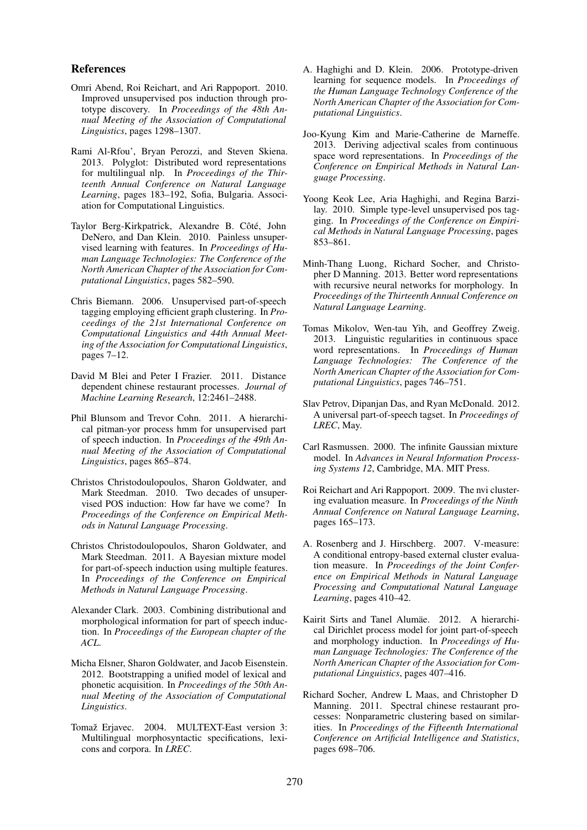#### References

- Omri Abend, Roi Reichart, and Ari Rappoport. 2010. Improved unsupervised pos induction through prototype discovery. In *Proceedings of the 48th Annual Meeting of the Association of Computational Linguistics*, pages 1298–1307.
- Rami Al-Rfou', Bryan Perozzi, and Steven Skiena. 2013. Polyglot: Distributed word representations for multilingual nlp. In *Proceedings of the Thirteenth Annual Conference on Natural Language Learning*, pages 183–192, Sofia, Bulgaria. Association for Computational Linguistics.
- Taylor Berg-Kirkpatrick, Alexandre B. Côté, John DeNero, and Dan Klein. 2010. Painless unsupervised learning with features. In *Proceedings of Human Language Technologies: The Conference of the North American Chapter of the Association for Computational Linguistics*, pages 582–590.
- Chris Biemann. 2006. Unsupervised part-of-speech tagging employing efficient graph clustering. In *Proceedings of the 21st International Conference on Computational Linguistics and 44th Annual Meeting of the Association for Computational Linguistics*, pages 7–12.
- David M Blei and Peter I Frazier. 2011. Distance dependent chinese restaurant processes. *Journal of Machine Learning Research*, 12:2461–2488.
- Phil Blunsom and Trevor Cohn. 2011. A hierarchical pitman-yor process hmm for unsupervised part of speech induction. In *Proceedings of the 49th Annual Meeting of the Association of Computational Linguistics*, pages 865–874.
- Christos Christodoulopoulos, Sharon Goldwater, and Mark Steedman. 2010. Two decades of unsupervised POS induction: How far have we come? In *Proceedings of the Conference on Empirical Methods in Natural Language Processing*.
- Christos Christodoulopoulos, Sharon Goldwater, and Mark Steedman. 2011. A Bayesian mixture model for part-of-speech induction using multiple features. In *Proceedings of the Conference on Empirical Methods in Natural Language Processing*.
- Alexander Clark. 2003. Combining distributional and morphological information for part of speech induction. In *Proceedings of the European chapter of the ACL*.
- Micha Elsner, Sharon Goldwater, and Jacob Eisenstein. 2012. Bootstrapping a unified model of lexical and phonetic acquisition. In *Proceedings of the 50th Annual Meeting of the Association of Computational Linguistics*.
- Tomaž Erjavec. 2004. MULTEXT-East version 3: Multilingual morphosyntactic specifications, lexicons and corpora. In *LREC*.
- A. Haghighi and D. Klein. 2006. Prototype-driven learning for sequence models. In *Proceedings of the Human Language Technology Conference of the North American Chapter of the Association for Computational Linguistics*.
- Joo-Kyung Kim and Marie-Catherine de Marneffe. 2013. Deriving adjectival scales from continuous space word representations. In *Proceedings of the Conference on Empirical Methods in Natural Language Processing*.
- Yoong Keok Lee, Aria Haghighi, and Regina Barzilay. 2010. Simple type-level unsupervised pos tagging. In *Proceedings of the Conference on Empirical Methods in Natural Language Processing*, pages 853–861.
- Minh-Thang Luong, Richard Socher, and Christopher D Manning. 2013. Better word representations with recursive neural networks for morphology. In *Proceedings of the Thirteenth Annual Conference on Natural Language Learning*.
- Tomas Mikolov, Wen-tau Yih, and Geoffrey Zweig. 2013. Linguistic regularities in continuous space word representations. In *Proceedings of Human Language Technologies: The Conference of the North American Chapter of the Association for Computational Linguistics*, pages 746–751.
- Slav Petrov, Dipanjan Das, and Ryan McDonald. 2012. A universal part-of-speech tagset. In *Proceedings of LREC*, May.
- Carl Rasmussen. 2000. The infinite Gaussian mixture model. In *Advances in Neural Information Processing Systems 12*, Cambridge, MA. MIT Press.
- Roi Reichart and Ari Rappoport. 2009. The nvi clustering evaluation measure. In *Proceedings of the Ninth Annual Conference on Natural Language Learning*, pages 165–173.
- A. Rosenberg and J. Hirschberg. 2007. V-measure: A conditional entropy-based external cluster evaluation measure. In *Proceedings of the Joint Conference on Empirical Methods in Natural Language Processing and Computational Natural Language Learning*, pages 410–42.
- Kairit Sirts and Tanel Alumäe. 2012. A hierarchical Dirichlet process model for joint part-of-speech and morphology induction. In *Proceedings of Human Language Technologies: The Conference of the North American Chapter of the Association for Computational Linguistics*, pages 407–416.
- Richard Socher, Andrew L Maas, and Christopher D Manning. 2011. Spectral chinese restaurant processes: Nonparametric clustering based on similarities. In *Proceedings of the Fifteenth International Conference on Artificial Intelligence and Statistics*, pages 698–706.